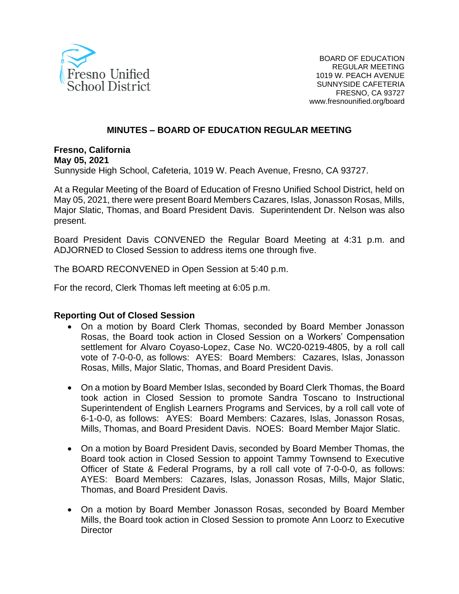

#### **MINUTES – BOARD OF EDUCATION REGULAR MEETING**

**Fresno, California May 05, 2021** Sunnyside High School, Cafeteria, 1019 W. Peach Avenue, Fresno, CA 93727.

At a Regular Meeting of the Board of Education of Fresno Unified School District, held on May 05, 2021, there were present Board Members Cazares, Islas, Jonasson Rosas, Mills, Major Slatic, Thomas, and Board President Davis. Superintendent Dr. Nelson was also present.

Board President Davis CONVENED the Regular Board Meeting at 4:31 p.m. and ADJORNED to Closed Session to address items one through five.

The BOARD RECONVENED in Open Session at 5:40 p.m.

For the record, Clerk Thomas left meeting at 6:05 p.m.

#### **Reporting Out of Closed Session**

- On a motion by Board Clerk Thomas, seconded by Board Member Jonasson Rosas, the Board took action in Closed Session on a Workers' Compensation settlement for Alvaro Coyaso-Lopez, Case No. WC20-0219-4805, by a roll call vote of 7-0-0-0, as follows: AYES: Board Members: Cazares, Islas, Jonasson Rosas, Mills, Major Slatic, Thomas, and Board President Davis.
- On a motion by Board Member Islas, seconded by Board Clerk Thomas, the Board took action in Closed Session to promote Sandra Toscano to Instructional Superintendent of English Learners Programs and Services, by a roll call vote of 6-1-0-0, as follows: AYES: Board Members: Cazares, Islas, Jonasson Rosas, Mills, Thomas, and Board President Davis. NOES: Board Member Major Slatic.
- On a motion by Board President Davis, seconded by Board Member Thomas, the Board took action in Closed Session to appoint Tammy Townsend to Executive Officer of State & Federal Programs, by a roll call vote of 7-0-0-0, as follows: AYES: Board Members: Cazares, Islas, Jonasson Rosas, Mills, Major Slatic, Thomas, and Board President Davis.
- On a motion by Board Member Jonasson Rosas, seconded by Board Member Mills, the Board took action in Closed Session to promote Ann Loorz to Executive **Director**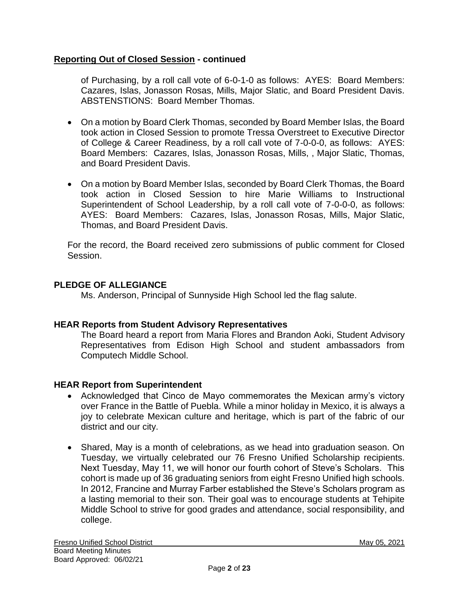# **Reporting Out of Closed Session - continued**

of Purchasing, by a roll call vote of 6-0-1-0 as follows: AYES: Board Members: Cazares, Islas, Jonasson Rosas, Mills, Major Slatic, and Board President Davis. ABSTENSTIONS: Board Member Thomas.

- On a motion by Board Clerk Thomas, seconded by Board Member Islas, the Board took action in Closed Session to promote Tressa Overstreet to Executive Director of College & Career Readiness, by a roll call vote of 7-0-0-0, as follows: AYES: Board Members: Cazares, Islas, Jonasson Rosas, Mills, , Major Slatic, Thomas, and Board President Davis.
- On a motion by Board Member Islas, seconded by Board Clerk Thomas, the Board took action in Closed Session to hire Marie Williams to Instructional Superintendent of School Leadership, by a roll call vote of 7-0-0-0, as follows: AYES: Board Members: Cazares, Islas, Jonasson Rosas, Mills, Major Slatic, Thomas, and Board President Davis.

For the record, the Board received zero submissions of public comment for Closed Session.

# **PLEDGE OF ALLEGIANCE**

Ms. Anderson, Principal of Sunnyside High School led the flag salute.

# **HEAR Reports from Student Advisory Representatives**

The Board heard a report from Maria Flores and Brandon Aoki, Student Advisory Representatives from Edison High School and student ambassadors from Computech Middle School.

#### **HEAR Report from Superintendent**

- Acknowledged that Cinco de Mayo commemorates the Mexican army's victory over France in the Battle of Puebla. While a minor holiday in Mexico, it is always a joy to celebrate Mexican culture and heritage, which is part of the fabric of our district and our city.
- Shared, May is a month of celebrations, as we head into graduation season. On Tuesday, we virtually celebrated our 76 Fresno Unified Scholarship recipients. Next Tuesday, May 11, we will honor our fourth cohort of Steve's Scholars. This cohort is made up of 36 graduating seniors from eight Fresno Unified high schools. In 2012, Francine and Murray Farber established the Steve's Scholars program as a lasting memorial to their son. Their goal was to encourage students at Tehipite Middle School to strive for good grades and attendance, social responsibility, and college.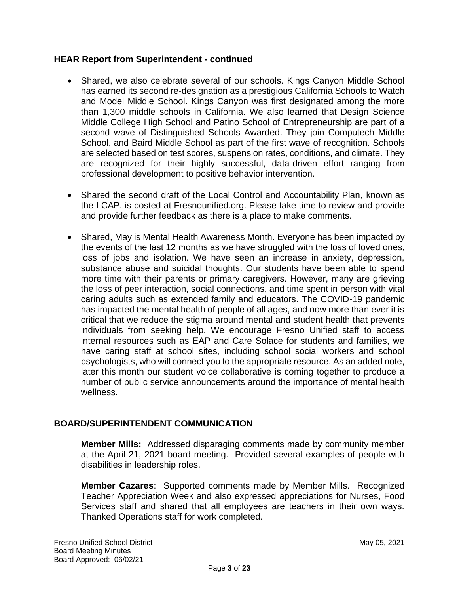## **HEAR Report from Superintendent - continued**

- Shared, we also celebrate several of our schools. Kings Canyon Middle School has earned its second re-designation as a prestigious California Schools to Watch and Model Middle School. Kings Canyon was first designated among the more than 1,300 middle schools in California. We also learned that Design Science Middle College High School and Patino School of Entrepreneurship are part of a second wave of Distinguished Schools Awarded. They join Computech Middle School, and Baird Middle School as part of the first wave of recognition. Schools are selected based on test scores, suspension rates, conditions, and climate. They are recognized for their highly successful, data-driven effort ranging from professional development to positive behavior intervention.
- Shared the second draft of the Local Control and Accountability Plan, known as the LCAP, is posted at Fresnounified.org. Please take time to review and provide and provide further feedback as there is a place to make comments.
- Shared, May is Mental Health Awareness Month. Everyone has been impacted by the events of the last 12 months as we have struggled with the loss of loved ones, loss of jobs and isolation. We have seen an increase in anxiety, depression, substance abuse and suicidal thoughts. Our students have been able to spend more time with their parents or primary caregivers. However, many are grieving the loss of peer interaction, social connections, and time spent in person with vital caring adults such as extended family and educators. The COVID-19 pandemic has impacted the mental health of people of all ages, and now more than ever it is critical that we reduce the stigma around mental and student health that prevents individuals from seeking help. We encourage Fresno Unified staff to access internal resources such as EAP and Care Solace for students and families, we have caring staff at school sites, including school social workers and school psychologists, who will connect you to the appropriate resource. As an added note, later this month our student voice collaborative is coming together to produce a number of public service announcements around the importance of mental health wellness.

# **BOARD/SUPERINTENDENT COMMUNICATION**

**Member Mills:** Addressed disparaging comments made by community member at the April 21, 2021 board meeting. Provided several examples of people with disabilities in leadership roles.

**Member Cazares**: Supported comments made by Member Mills. Recognized Teacher Appreciation Week and also expressed appreciations for Nurses, Food Services staff and shared that all employees are teachers in their own ways. Thanked Operations staff for work completed.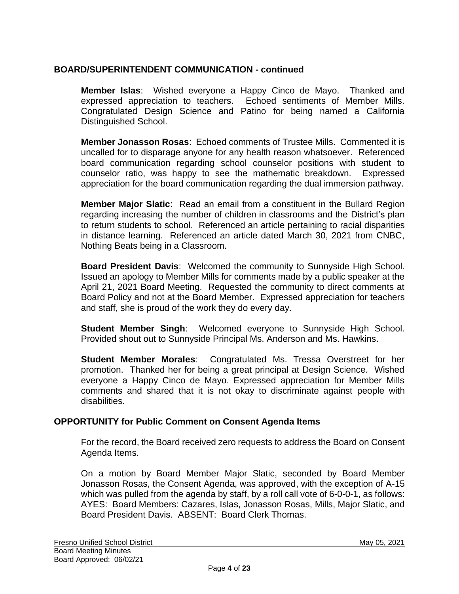# **BOARD/SUPERINTENDENT COMMUNICATION - continued**

**Member Islas**: Wished everyone a Happy Cinco de Mayo. Thanked and expressed appreciation to teachers. Echoed sentiments of Member Mills. Congratulated Design Science and Patino for being named a California Distinguished School.

**Member Jonasson Rosas**: Echoed comments of Trustee Mills. Commented it is uncalled for to disparage anyone for any health reason whatsoever. Referenced board communication regarding school counselor positions with student to counselor ratio, was happy to see the mathematic breakdown. Expressed appreciation for the board communication regarding the dual immersion pathway.

**Member Major Slatic**: Read an email from a constituent in the Bullard Region regarding increasing the number of children in classrooms and the District's plan to return students to school. Referenced an article pertaining to racial disparities in distance learning. Referenced an article dated March 30, 2021 from CNBC, Nothing Beats being in a Classroom.

**Board President Davis**: Welcomed the community to Sunnyside High School. Issued an apology to Member Mills for comments made by a public speaker at the April 21, 2021 Board Meeting. Requested the community to direct comments at Board Policy and not at the Board Member. Expressed appreciation for teachers and staff, she is proud of the work they do every day.

**Student Member Singh**: Welcomed everyone to Sunnyside High School. Provided shout out to Sunnyside Principal Ms. Anderson and Ms. Hawkins.

**Student Member Morales**: Congratulated Ms. Tressa Overstreet for her promotion. Thanked her for being a great principal at Design Science. Wished everyone a Happy Cinco de Mayo. Expressed appreciation for Member Mills comments and shared that it is not okay to discriminate against people with disabilities.

#### **OPPORTUNITY for Public Comment on Consent Agenda Items**

For the record, the Board received zero requests to address the Board on Consent Agenda Items.

On a motion by Board Member Major Slatic, seconded by Board Member Jonasson Rosas, the Consent Agenda, was approved, with the exception of A-15 which was pulled from the agenda by staff, by a roll call vote of 6-0-0-1, as follows: AYES: Board Members: Cazares, Islas, Jonasson Rosas, Mills, Major Slatic, and Board President Davis. ABSENT: Board Clerk Thomas.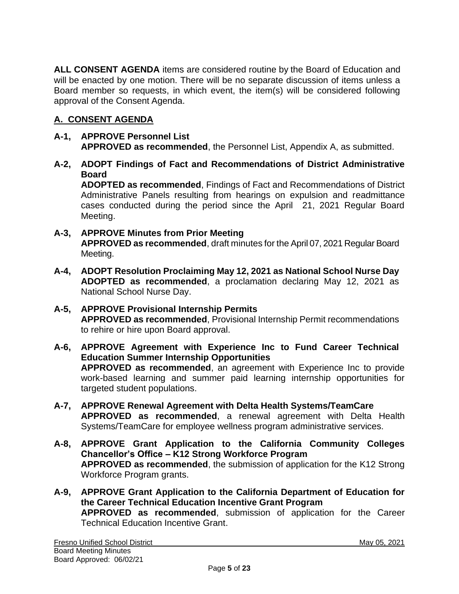**ALL CONSENT AGENDA** items are considered routine by the Board of Education and will be enacted by one motion. There will be no separate discussion of items unless a Board member so requests, in which event, the item(s) will be considered following approval of the Consent Agenda.

# **A. CONSENT AGENDA**

### **A-1, APPROVE Personnel List APPROVED as recommended**, the Personnel List, Appendix A, as submitted.

**A-2, ADOPT Findings of Fact and Recommendations of District Administrative Board**

**ADOPTED as recommended**, Findings of Fact and Recommendations of District Administrative Panels resulting from hearings on expulsion and readmittance cases conducted during the period since the April 21, 2021 Regular Board Meeting.

## **A-3, APPROVE Minutes from Prior Meeting APPROVED as recommended**, draft minutes for the April 07, 2021 Regular Board Meeting.

- **A-4, ADOPT Resolution Proclaiming May 12, 2021 as National School Nurse Day ADOPTED as recommended**, a proclamation declaring May 12, 2021 as National School Nurse Day.
- **A-5, APPROVE Provisional Internship Permits APPROVED as recommended**, Provisional Internship Permit recommendations to rehire or hire upon Board approval.
- **A-6, APPROVE Agreement with Experience Inc to Fund Career Technical Education Summer Internship Opportunities APPROVED as recommended**, an agreement with Experience Inc to provide work-based learning and summer paid learning internship opportunities for targeted student populations.
- **A-7, APPROVE Renewal Agreement with Delta Health Systems/TeamCare APPROVED as recommended**, a renewal agreement with Delta Health Systems/TeamCare for employee wellness program administrative services.
- **A-8, APPROVE Grant Application to the California Community Colleges Chancellor's Office – K12 Strong Workforce Program APPROVED as recommended**, the submission of application for the K12 Strong Workforce Program grants.
- **A-9, APPROVE Grant Application to the California Department of Education for the Career Technical Education Incentive Grant Program APPROVED as recommended**, submission of application for the Career Technical Education Incentive Grant.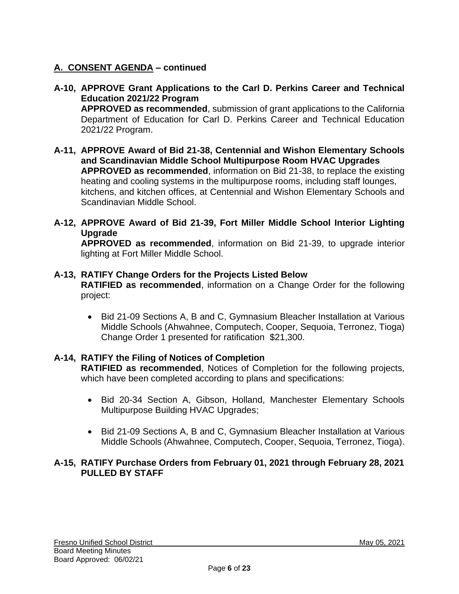# **A. CONSENT AGENDA – continued**

- **A-10, APPROVE Grant Applications to the Carl D. Perkins Career and Technical Education 2021/22 Program APPROVED as recommended**, submission of grant applications to the California Department of Education for Carl D. Perkins Career and Technical Education 2021/22 Program.
- **A-11, APPROVE Award of Bid 21-38, Centennial and Wishon Elementary Schools and Scandinavian Middle School Multipurpose Room HVAC Upgrades APPROVED as recommended**, information on Bid 21-38, to replace the existing heating and cooling systems in the multipurpose rooms, including staff lounges, kitchens, and kitchen offices, at Centennial and Wishon Elementary Schools and Scandinavian Middle School.
- **A-12, APPROVE Award of Bid 21-39, Fort Miller Middle School Interior Lighting Upgrade**

**APPROVED as recommended**, information on Bid 21-39, to upgrade interior lighting at Fort Miller Middle School.

## **A-13, RATIFY Change Orders for the Projects Listed Below**

**RATIFIED as recommended**, information on a Change Order for the following project:

• Bid 21-09 Sections A, B and C, Gymnasium Bleacher Installation at Various Middle Schools (Ahwahnee, Computech, Cooper, Sequoia, Terronez, Tioga) Change Order 1 presented for ratification \$21,300.

# **A-14, RATIFY the Filing of Notices of Completion**

**RATIFIED as recommended**, Notices of Completion for the following projects, which have been completed according to plans and specifications:

- Bid 20-34 Section A, Gibson, Holland, Manchester Elementary Schools Multipurpose Building HVAC Upgrades;
- Bid 21-09 Sections A, B and C, Gymnasium Bleacher Installation at Various Middle Schools (Ahwahnee, Computech, Cooper, Sequoia, Terronez, Tioga).

## **A-15, RATIFY Purchase Orders from February 01, 2021 through February 28, 2021 PULLED BY STAFF**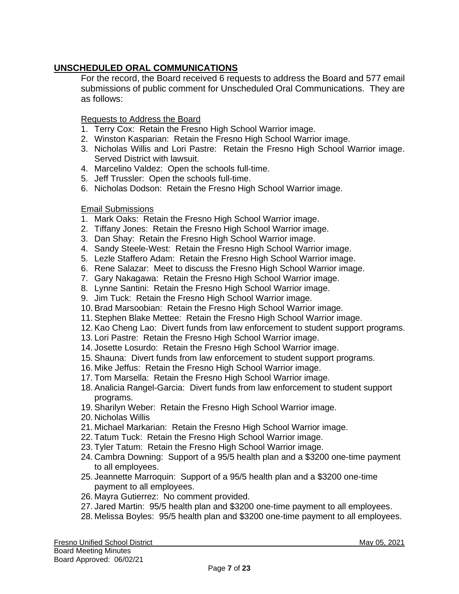# **UNSCHEDULED ORAL COMMUNICATIONS**

For the record, the Board received 6 requests to address the Board and 577 email submissions of public comment for Unscheduled Oral Communications. They are as follows:

Requests to Address the Board

- 1. Terry Cox: Retain the Fresno High School Warrior image.
- 2. Winston Kasparian: Retain the Fresno High School Warrior image.
- 3. Nicholas Willis and Lori Pastre: Retain the Fresno High School Warrior image. Served District with lawsuit.
- 4. Marcelino Valdez: Open the schools full-time.
- 5. Jeff Trussler: Open the schools full-time.
- 6. Nicholas Dodson: Retain the Fresno High School Warrior image.

#### Email Submissions

- 1. Mark Oaks: Retain the Fresno High School Warrior image.
- 2. Tiffany Jones: Retain the Fresno High School Warrior image.
- 3. Dan Shay: Retain the Fresno High School Warrior image.
- 4. Sandy Steele-West: Retain the Fresno High School Warrior image.
- 5. Lezle Staffero Adam: Retain the Fresno High School Warrior image.
- 6. Rene Salazar: Meet to discuss the Fresno High School Warrior image.
- 7. Gary Nakagawa: Retain the Fresno High School Warrior image.
- 8. Lynne Santini: Retain the Fresno High School Warrior image.
- 9. Jim Tuck: Retain the Fresno High School Warrior image.
- 10. Brad Marsoobian: Retain the Fresno High School Warrior image.
- 11. Stephen Blake Mettee: Retain the Fresno High School Warrior image.
- 12. Kao Cheng Lao: Divert funds from law enforcement to student support programs.
- 13. Lori Pastre: Retain the Fresno High School Warrior image.
- 14. Josette Losurdo: Retain the Fresno High School Warrior image.
- 15. Shauna: Divert funds from law enforcement to student support programs.
- 16. Mike Jeffus: Retain the Fresno High School Warrior image.
- 17. Tom Marsella: Retain the Fresno High School Warrior image.
- 18. Analicia Rangel-Garcia: Divert funds from law enforcement to student support programs.
- 19. Sharilyn Weber: Retain the Fresno High School Warrior image.
- 20. Nicholas Willis
- 21. Michael Markarian: Retain the Fresno High School Warrior image.
- 22. Tatum Tuck: Retain the Fresno High School Warrior image.
- 23. Tyler Tatum: Retain the Fresno High School Warrior image.
- 24. Cambra Downing: Support of a 95/5 health plan and a \$3200 one-time payment to all employees.
- 25. Jeannette Marroquin: Support of a 95/5 health plan and a \$3200 one-time payment to all employees.
- 26. Mayra Gutierrez: No comment provided.
- 27. Jared Martin: 95/5 health plan and \$3200 one-time payment to all employees.
- 28. Melissa Boyles: 95/5 health plan and \$3200 one-time payment to all employees.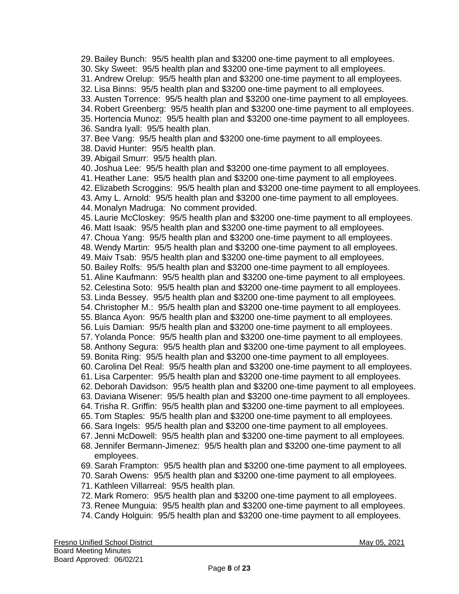29. Bailey Bunch: 95/5 health plan and \$3200 one-time payment to all employees. 30. Sky Sweet: 95/5 health plan and \$3200 one-time payment to all employees. 31. Andrew Orelup: 95/5 health plan and \$3200 one-time payment to all employees. 32. Lisa Binns: 95/5 health plan and \$3200 one-time payment to all employees. 33. Austen Torrence: 95/5 health plan and \$3200 one-time payment to all employees. 34. Robert Greenberg: 95/5 health plan and \$3200 one-time payment to all employees. 35. Hortencia Munoz: 95/5 health plan and \$3200 one-time payment to all employees. 36. Sandra Iyall: 95/5 health plan. 37. Bee Vang: 95/5 health plan and \$3200 one-time payment to all employees. 38. David Hunter: 95/5 health plan. 39. Abigail Smurr: 95/5 health plan. 40. Joshua Lee: 95/5 health plan and \$3200 one-time payment to all employees. 41. Heather Lane: 95/5 health plan and \$3200 one-time payment to all employees. 42. Elizabeth Scroggins: 95/5 health plan and \$3200 one-time payment to all employees. 43. Amy L. Arnold: 95/5 health plan and \$3200 one-time payment to all employees. 44. Monalyn Madruga: No comment provided. 45. Laurie McCloskey: 95/5 health plan and \$3200 one-time payment to all employees. 46. Matt Isaak: 95/5 health plan and \$3200 one-time payment to all employees. 47. Choua Yang: 95/5 health plan and \$3200 one-time payment to all employees. 48. Wendy Martin: 95/5 health plan and \$3200 one-time payment to all employees. 49. Maiv Tsab: 95/5 health plan and \$3200 one-time payment to all employees. 50. Bailey Rolfs: 95/5 health plan and \$3200 one-time payment to all employees. 51. Aline Kaufmann: 95/5 health plan and \$3200 one-time payment to all employees. 52. Celestina Soto: 95/5 health plan and \$3200 one-time payment to all employees. 53. Linda Bessey. 95/5 health plan and \$3200 one-time payment to all employees. 54. Christopher M.: 95/5 health plan and \$3200 one-time payment to all employees. 55. Blanca Ayon: 95/5 health plan and \$3200 one-time payment to all employees. 56. Luis Damian: 95/5 health plan and \$3200 one-time payment to all employees. 57. Yolanda Ponce: 95/5 health plan and \$3200 one-time payment to all employees. 58. Anthony Segura: 95/5 health plan and \$3200 one-time payment to all employees. 59. Bonita Ring: 95/5 health plan and \$3200 one-time payment to all employees. 60. Carolina Del Real: 95/5 health plan and \$3200 one-time payment to all employees. 61. Lisa Carpenter: 95/5 health plan and \$3200 one-time payment to all employees. 62. Deborah Davidson: 95/5 health plan and \$3200 one-time payment to all employees. 63. Daviana Wisener: 95/5 health plan and \$3200 one-time payment to all employees. 64. Trisha R. Griffin: 95/5 health plan and \$3200 one-time payment to all employees. 65. Tom Staples: 95/5 health plan and \$3200 one-time payment to all employees. 66. Sara Ingels: 95/5 health plan and \$3200 one-time payment to all employees. 67. Jenni McDowell: 95/5 health plan and \$3200 one-time payment to all employees. 68. Jennifer Bermann-Jimenez: 95/5 health plan and \$3200 one-time payment to all employees. 69. Sarah Frampton: 95/5 health plan and \$3200 one-time payment to all employees. 70. Sarah Owens: 95/5 health plan and \$3200 one-time payment to all employees. 71. Kathleen Villarreal: 95/5 health plan. 72. Mark Romero: 95/5 health plan and \$3200 one-time payment to all employees. 73. Renee Munguia: 95/5 health plan and \$3200 one-time payment to all employees.

74. Candy Holguin: 95/5 health plan and \$3200 one-time payment to all employees.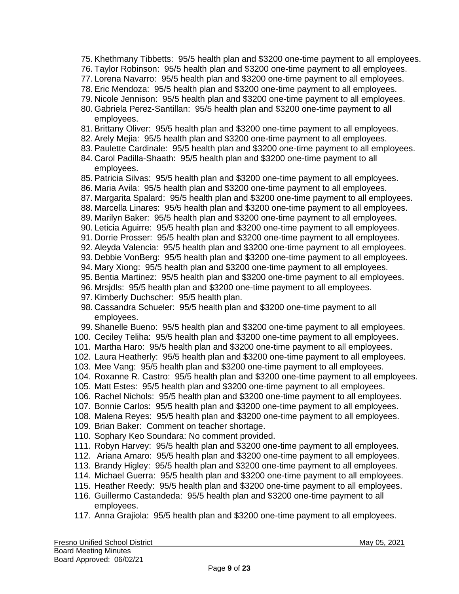- 75. Khethmany Tibbetts: 95/5 health plan and \$3200 one-time payment to all employees.
- 76. Taylor Robinson: 95/5 health plan and \$3200 one-time payment to all employees.
- 77. Lorena Navarro: 95/5 health plan and \$3200 one-time payment to all employees.
- 78. Eric Mendoza: 95/5 health plan and \$3200 one-time payment to all employees.
- 79. Nicole Jennison: 95/5 health plan and \$3200 one-time payment to all employees.
- 80. Gabriela Perez-Santillan: 95/5 health plan and \$3200 one-time payment to all employees.
- 81. Brittany Oliver: 95/5 health plan and \$3200 one-time payment to all employees.
- 82. Arely Mejia: 95/5 health plan and \$3200 one-time payment to all employees.
- 83. Paulette Cardinale: 95/5 health plan and \$3200 one-time payment to all employees.
- 84. Carol Padilla-Shaath: 95/5 health plan and \$3200 one-time payment to all employees.
- 85. Patricia Silvas: 95/5 health plan and \$3200 one-time payment to all employees.
- 86. Maria Avila: 95/5 health plan and \$3200 one-time payment to all employees.
- 87. Margarita Spalard: 95/5 health plan and \$3200 one-time payment to all employees.
- 88. Marcella Linares: 95/5 health plan and \$3200 one-time payment to all employees.
- 89. Marilyn Baker: 95/5 health plan and \$3200 one-time payment to all employees.
- 90. Leticia Aguirre: 95/5 health plan and \$3200 one-time payment to all employees.
- 91. Dorrie Prosser: 95/5 health plan and \$3200 one-time payment to all employees.
- 92. Aleyda Valencia: 95/5 health plan and \$3200 one-time payment to all employees.
- 93. Debbie VonBerg: 95/5 health plan and \$3200 one-time payment to all employees.
- 94. Mary Xiong: 95/5 health plan and \$3200 one-time payment to all employees.
- 95. Bentia Martinez: 95/5 health plan and \$3200 one-time payment to all employees.
- 96. Mrsjdls: 95/5 health plan and \$3200 one-time payment to all employees.
- 97. Kimberly Duchscher: 95/5 health plan.
- 98. Cassandra Schueler: 95/5 health plan and \$3200 one-time payment to all employees.
- 99. Shanelle Bueno: 95/5 health plan and \$3200 one-time payment to all employees.
- 100. Ceciley Teliha: 95/5 health plan and \$3200 one-time payment to all employees.
- 101. Martha Haro: 95/5 health plan and \$3200 one-time payment to all employees.
- 102. Laura Heatherly: 95/5 health plan and \$3200 one-time payment to all employees.
- 103. Mee Vang: 95/5 health plan and \$3200 one-time payment to all employees.
- 104. Roxanne R. Castro: 95/5 health plan and \$3200 one-time payment to all employees.
- 105. Matt Estes: 95/5 health plan and \$3200 one-time payment to all employees.
- 106. Rachel Nichols: 95/5 health plan and \$3200 one-time payment to all employees.
- 107. Bonnie Carlos: 95/5 health plan and \$3200 one-time payment to all employees.
- 108. Malena Reyes: 95/5 health plan and \$3200 one-time payment to all employees.
- 109. Brian Baker: Comment on teacher shortage.
- 110. Sophary Keo Soundara: No comment provided.
- 111. Robyn Harvey: 95/5 health plan and \$3200 one-time payment to all employees.
- 112. Ariana Amaro: 95/5 health plan and \$3200 one-time payment to all employees.
- 113. Brandy Higley: 95/5 health plan and \$3200 one-time payment to all employees.
- 114. Michael Guerra: 95/5 health plan and \$3200 one-time payment to all employees.
- 115. Heather Reedy: 95/5 health plan and \$3200 one-time payment to all employees.
- 116. Guillermo Castandeda: 95/5 health plan and \$3200 one-time payment to all employees.
- 117. Anna Grajiola: 95/5 health plan and \$3200 one-time payment to all employees.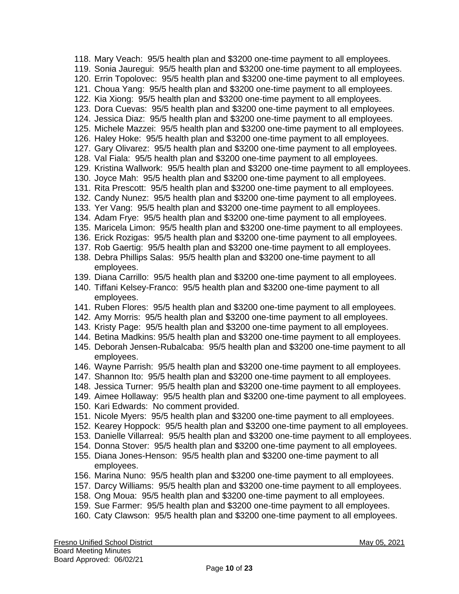118. Mary Veach: 95/5 health plan and \$3200 one-time payment to all employees. 119. Sonia Jauregui: 95/5 health plan and \$3200 one-time payment to all employees. 120. Errin Topolovec: 95/5 health plan and \$3200 one-time payment to all employees. 121. Choua Yang: 95/5 health plan and \$3200 one-time payment to all employees. 122. Kia Xiong: 95/5 health plan and \$3200 one-time payment to all employees. 123. Dora Cuevas: 95/5 health plan and \$3200 one-time payment to all employees. 124. Jessica Diaz: 95/5 health plan and \$3200 one-time payment to all employees. 125. Michele Mazzei: 95/5 health plan and \$3200 one-time payment to all employees. 126. Haley Hoke: 95/5 health plan and \$3200 one-time payment to all employees. 127. Gary Olivarez: 95/5 health plan and \$3200 one-time payment to all employees. 128. Val Fiala: 95/5 health plan and \$3200 one-time payment to all employees. 129. Kristina Wallwork: 95/5 health plan and \$3200 one-time payment to all employees. 130. Joyce Mah: 95/5 health plan and \$3200 one-time payment to all employees. 131. Rita Prescott: 95/5 health plan and \$3200 one-time payment to all employees. 132. Candy Nunez: 95/5 health plan and \$3200 one-time payment to all employees. 133. Yer Vang: 95/5 health plan and \$3200 one-time payment to all employees. 134. Adam Frye: 95/5 health plan and \$3200 one-time payment to all employees. 135. Maricela Limon: 95/5 health plan and \$3200 one-time payment to all employees. 136. Erick Rozigas: 95/5 health plan and \$3200 one-time payment to all employees. 137. Rob Gaertig: 95/5 health plan and \$3200 one-time payment to all employees. 138. Debra Phillips Salas: 95/5 health plan and \$3200 one-time payment to all employees. 139. Diana Carrillo: 95/5 health plan and \$3200 one-time payment to all employees. 140. Tiffani Kelsey-Franco: 95/5 health plan and \$3200 one-time payment to all employees. 141. Ruben Flores: 95/5 health plan and \$3200 one-time payment to all employees. 142. Amy Morris: 95/5 health plan and \$3200 one-time payment to all employees. 143. Kristy Page: 95/5 health plan and \$3200 one-time payment to all employees. 144. Betina Madkins: 95/5 health plan and \$3200 one-time payment to all employees. 145. Deborah Jensen-Rubalcaba: 95/5 health plan and \$3200 one-time payment to all employees. 146. Wayne Parrish: 95/5 health plan and \$3200 one-time payment to all employees. 147. Shannon Ito: 95/5 health plan and \$3200 one-time payment to all employees. 148. Jessica Turner: 95/5 health plan and \$3200 one-time payment to all employees. 149. Aimee Hollaway: 95/5 health plan and \$3200 one-time payment to all employees. 150. Kari Edwards: No comment provided. 151. Nicole Myers: 95/5 health plan and \$3200 one-time payment to all employees. 152. Kearey Hoppock: 95/5 health plan and \$3200 one-time payment to all employees. 153. Danielle Villarreal: 95/5 health plan and \$3200 one-time payment to all employees. 154. Donna Stover: 95/5 health plan and \$3200 one-time payment to all employees. 155. Diana Jones-Henson: 95/5 health plan and \$3200 one-time payment to all employees. 156. Marina Nuno: 95/5 health plan and \$3200 one-time payment to all employees. 157. Darcy Williams: 95/5 health plan and \$3200 one-time payment to all employees. 158. Ong Moua: 95/5 health plan and \$3200 one-time payment to all employees. 159. Sue Farmer: 95/5 health plan and \$3200 one-time payment to all employees. 160. Caty Clawson: 95/5 health plan and \$3200 one-time payment to all employees.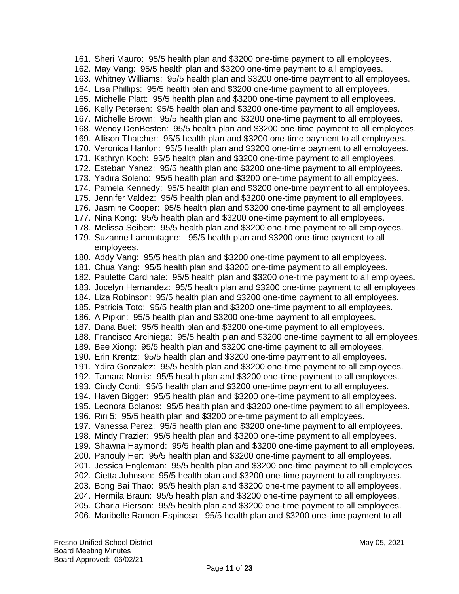161. Sheri Mauro: 95/5 health plan and \$3200 one-time payment to all employees. 162. May Vang: 95/5 health plan and \$3200 one-time payment to all employees. 163. Whitney Williams: 95/5 health plan and \$3200 one-time payment to all employees. 164. Lisa Phillips: 95/5 health plan and \$3200 one-time payment to all employees. 165. Michelle Platt: 95/5 health plan and \$3200 one-time payment to all employees. 166. Kelly Petersen: 95/5 health plan and \$3200 one-time payment to all employees. 167. Michelle Brown: 95/5 health plan and \$3200 one-time payment to all employees. 168. Wendy DenBesten: 95/5 health plan and \$3200 one-time payment to all employees. 169. Allison Thatcher: 95/5 health plan and \$3200 one-time payment to all employees. 170. Veronica Hanlon: 95/5 health plan and \$3200 one-time payment to all employees. 171. Kathryn Koch: 95/5 health plan and \$3200 one-time payment to all employees. 172. Esteban Yanez: 95/5 health plan and \$3200 one-time payment to all employees. 173. Yadira Soleno: 95/5 health plan and \$3200 one-time payment to all employees. 174. Pamela Kennedy: 95/5 health plan and \$3200 one-time payment to all employees. 175. Jennifer Valdez: 95/5 health plan and \$3200 one-time payment to all employees. 176. Jasmine Cooper: 95/5 health plan and \$3200 one-time payment to all employees. 177. Nina Kong: 95/5 health plan and \$3200 one-time payment to all employees. 178. Melissa Seibert: 95/5 health plan and \$3200 one-time payment to all employees. 179. Suzanne Lamontagne: 95/5 health plan and \$3200 one-time payment to all employees. 180. Addy Vang: 95/5 health plan and \$3200 one-time payment to all employees. 181. Chua Yang: 95/5 health plan and \$3200 one-time payment to all employees. 182. Paulette Cardinale: 95/5 health plan and \$3200 one-time payment to all employees. 183. Jocelyn Hernandez: 95/5 health plan and \$3200 one-time payment to all employees. 184. Liza Robinson: 95/5 health plan and \$3200 one-time payment to all employees. 185. Patricia Toto: 95/5 health plan and \$3200 one-time payment to all employees. 186. A Pipkin: 95/5 health plan and \$3200 one-time payment to all employees. 187. Dana Buel: 95/5 health plan and \$3200 one-time payment to all employees. 188. Francisco Arciniega: 95/5 health plan and \$3200 one-time payment to all employees. 189. Bee Xiong: 95/5 health plan and \$3200 one-time payment to all employees. 190. Erin Krentz: 95/5 health plan and \$3200 one-time payment to all employees. 191. Ydira Gonzalez: 95/5 health plan and \$3200 one-time payment to all employees. 192. Tamara Norris: 95/5 health plan and \$3200 one-time payment to all employees. 193. Cindy Conti: 95/5 health plan and \$3200 one-time payment to all employees. 194. Haven Bigger: 95/5 health plan and \$3200 one-time payment to all employees. 195. Leonora Bolanos: 95/5 health plan and \$3200 one-time payment to all employees. 196. Riri 5: 95/5 health plan and \$3200 one-time payment to all employees. 197. Vanessa Perez: 95/5 health plan and \$3200 one-time payment to all employees. 198. Mindy Frazier: 95/5 health plan and \$3200 one-time payment to all employees. 199. Shawna Haymond: 95/5 health plan and \$3200 one-time payment to all employees. 200. Panouly Her: 95/5 health plan and \$3200 one-time payment to all employees. 201. Jessica Engleman: 95/5 health plan and \$3200 one-time payment to all employees. 202. Cietta Johnson: 95/5 health plan and \$3200 one-time payment to all employees. 203. Bong Bai Thao: 95/5 health plan and \$3200 one-time payment to all employees. 204. Hermila Braun: 95/5 health plan and \$3200 one-time payment to all employees. 205. Charla Pierson: 95/5 health plan and \$3200 one-time payment to all employees. 206. Maribelle Ramon-Espinosa: 95/5 health plan and \$3200 one-time payment to all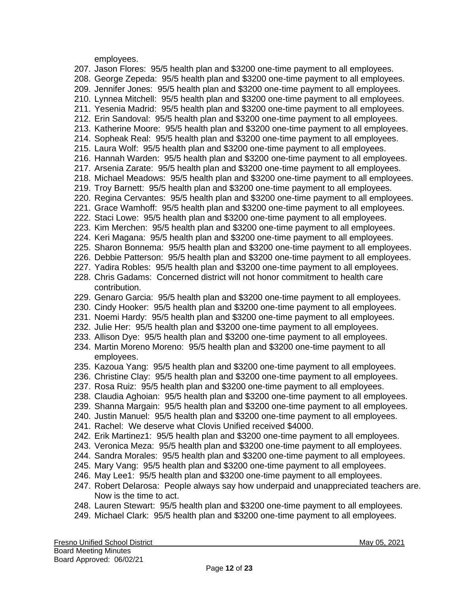employees.

207. Jason Flores: 95/5 health plan and \$3200 one-time payment to all employees. 208. George Zepeda: 95/5 health plan and \$3200 one-time payment to all employees. 209. Jennifer Jones: 95/5 health plan and \$3200 one-time payment to all employees. 210. Lynnea Mitchell: 95/5 health plan and \$3200 one-time payment to all employees. 211. Yesenia Madrid: 95/5 health plan and \$3200 one-time payment to all employees. 212. Erin Sandoval: 95/5 health plan and \$3200 one-time payment to all employees. 213. Katherine Moore: 95/5 health plan and \$3200 one-time payment to all employees. 214. Sopheak Real: 95/5 health plan and \$3200 one-time payment to all employees. 215. Laura Wolf: 95/5 health plan and \$3200 one-time payment to all employees. 216. Hannah Warden: 95/5 health plan and \$3200 one-time payment to all employees. 217. Arsenia Zarate: 95/5 health plan and \$3200 one-time payment to all employees. 218. Michael Meadows: 95/5 health plan and \$3200 one-time payment to all employees. 219. Troy Barnett: 95/5 health plan and \$3200 one-time payment to all employees. 220. Regina Cervantes: 95/5 health plan and \$3200 one-time payment to all employees. 221. Grace Wamhoff: 95/5 health plan and \$3200 one-time payment to all employees. 222. Staci Lowe: 95/5 health plan and \$3200 one-time payment to all employees. 223. Kim Merchen: 95/5 health plan and \$3200 one-time payment to all employees. 224. Keri Magana: 95/5 health plan and \$3200 one-time payment to all employees. 225. Sharon Bonnema: 95/5 health plan and \$3200 one-time payment to all employees. 226. Debbie Patterson: 95/5 health plan and \$3200 one-time payment to all employees. 227. Yadira Robles: 95/5 health plan and \$3200 one-time payment to all employees. 228. Chris Gadams: Concerned district will not honor commitment to health care contribution. 229. Genaro Garcia: 95/5 health plan and \$3200 one-time payment to all employees. 230. Cindy Hooker: 95/5 health plan and \$3200 one-time payment to all employees. 231. Noemi Hardy: 95/5 health plan and \$3200 one-time payment to all employees. 232. Julie Her: 95/5 health plan and \$3200 one-time payment to all employees. 233. Allison Dye: 95/5 health plan and \$3200 one-time payment to all employees. 234. Martin Moreno Moreno: 95/5 health plan and \$3200 one-time payment to all employees. 235. Kazoua Yang: 95/5 health plan and \$3200 one-time payment to all employees. 236. Christine Clay: 95/5 health plan and \$3200 one-time payment to all employees. 237. Rosa Ruiz: 95/5 health plan and \$3200 one-time payment to all employees. 238. Claudia Aghoian: 95/5 health plan and \$3200 one-time payment to all employees. 239. Shanna Margain: 95/5 health plan and \$3200 one-time payment to all employees. 240. Justin Manuel: 95/5 health plan and \$3200 one-time payment to all employees. 241. Rachel: We deserve what Clovis Unified received \$4000. 242. Erik Martinez1: 95/5 health plan and \$3200 one-time payment to all employees. 243. Veronica Meza: 95/5 health plan and \$3200 one-time payment to all employees. 244. Sandra Morales: 95/5 health plan and \$3200 one-time payment to all employees. 245. Mary Vang: 95/5 health plan and \$3200 one-time payment to all employees. 246. May Lee1: 95/5 health plan and \$3200 one-time payment to all employees. 247. Robert Delarosa: People always say how underpaid and unappreciated teachers are. Now is the time to act. 248. Lauren Stewart: 95/5 health plan and \$3200 one-time payment to all employees. 249. Michael Clark: 95/5 health plan and \$3200 one-time payment to all employees.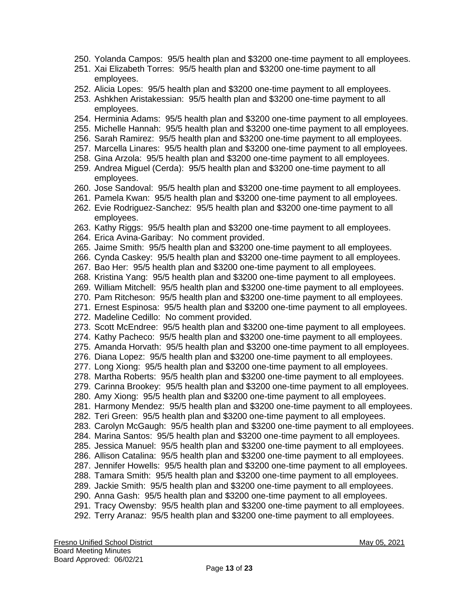- 250. Yolanda Campos: 95/5 health plan and \$3200 one-time payment to all employees.
- 251. Xai Elizabeth Torres: 95/5 health plan and \$3200 one-time payment to all employees.
- 252. Alicia Lopes: 95/5 health plan and \$3200 one-time payment to all employees.
- 253. Ashkhen Aristakessian: 95/5 health plan and \$3200 one-time payment to all employees.
- 254. Herminia Adams: 95/5 health plan and \$3200 one-time payment to all employees.
- 255. Michelle Hannah: 95/5 health plan and \$3200 one-time payment to all employees.
- 256. Sarah Ramirez: 95/5 health plan and \$3200 one-time payment to all employees.
- 257. Marcella Linares: 95/5 health plan and \$3200 one-time payment to all employees.
- 258. Gina Arzola: 95/5 health plan and \$3200 one-time payment to all employees.
- 259. Andrea Miguel (Cerda): 95/5 health plan and \$3200 one-time payment to all employees.
- 260. Jose Sandoval: 95/5 health plan and \$3200 one-time payment to all employees.
- 261. Pamela Kwan: 95/5 health plan and \$3200 one-time payment to all employees.
- 262. Evie Rodriguez-Sanchez: 95/5 health plan and \$3200 one-time payment to all employees.
- 263. Kathy Riggs: 95/5 health plan and \$3200 one-time payment to all employees.
- 264. Erica Avina-Garibay: No comment provided.
- 265. Jaime Smith: 95/5 health plan and \$3200 one-time payment to all employees.
- 266. Cynda Caskey: 95/5 health plan and \$3200 one-time payment to all employees.
- 267. Bao Her: 95/5 health plan and \$3200 one-time payment to all employees.
- 268. Kristina Yang: 95/5 health plan and \$3200 one-time payment to all employees.
- 269. William Mitchell: 95/5 health plan and \$3200 one-time payment to all employees.
- 270. Pam Ritcheson: 95/5 health plan and \$3200 one-time payment to all employees.
- 271. Ernest Espinosa: 95/5 health plan and \$3200 one-time payment to all employees.
- 272. Madeline Cedillo: No comment provided.
- 273. Scott McEndree: 95/5 health plan and \$3200 one-time payment to all employees.
- 274. Kathy Pacheco: 95/5 health plan and \$3200 one-time payment to all employees.
- 275. Amanda Horvath: 95/5 health plan and \$3200 one-time payment to all employees.
- 276. Diana Lopez: 95/5 health plan and \$3200 one-time payment to all employees.
- 277. Long Xiong: 95/5 health plan and \$3200 one-time payment to all employees.
- 278. Martha Roberts: 95/5 health plan and \$3200 one-time payment to all employees.
- 279. Carinna Brookey: 95/5 health plan and \$3200 one-time payment to all employees.
- 280. Amy Xiong: 95/5 health plan and \$3200 one-time payment to all employees.
- 281. Harmony Mendez: 95/5 health plan and \$3200 one-time payment to all employees.
- 282. Teri Green: 95/5 health plan and \$3200 one-time payment to all employees.
- 283. Carolyn McGaugh: 95/5 health plan and \$3200 one-time payment to all employees.
- 284. Marina Santos: 95/5 health plan and \$3200 one-time payment to all employees.
- 285. Jessica Manuel: 95/5 health plan and \$3200 one-time payment to all employees.
- 286. Allison Catalina: 95/5 health plan and \$3200 one-time payment to all employees.
- 287. Jennifer Howells: 95/5 health plan and \$3200 one-time payment to all employees.
- 288. Tamara Smith: 95/5 health plan and \$3200 one-time payment to all employees.
- 289. Jackie Smith: 95/5 health plan and \$3200 one-time payment to all employees.
- 290. Anna Gash: 95/5 health plan and \$3200 one-time payment to all employees.
- 291. Tracy Owensby: 95/5 health plan and \$3200 one-time payment to all employees.
- 292. Terry Aranaz: 95/5 health plan and \$3200 one-time payment to all employees.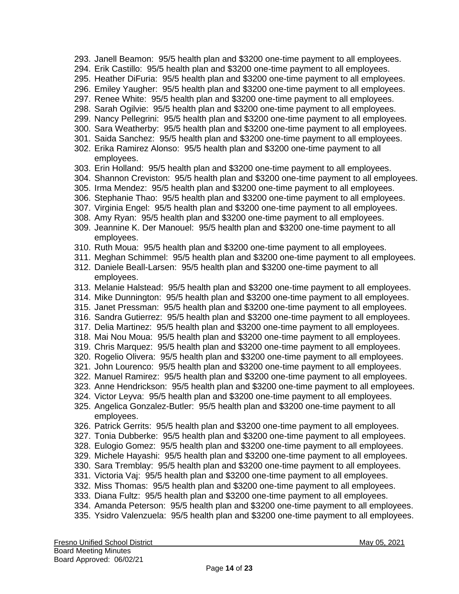- 293. Janell Beamon: 95/5 health plan and \$3200 one-time payment to all employees.
- 294. Erik Castillo: 95/5 health plan and \$3200 one-time payment to all employees.
- 295. Heather DiFuria: 95/5 health plan and \$3200 one-time payment to all employees.
- 296. Emiley Yaugher: 95/5 health plan and \$3200 one-time payment to all employees.
- 297. Renee White: 95/5 health plan and \$3200 one-time payment to all employees.
- 298. Sarah Ogilvie: 95/5 health plan and \$3200 one-time payment to all employees.
- 299. Nancy Pellegrini: 95/5 health plan and \$3200 one-time payment to all employees.
- 300. Sara Weatherby: 95/5 health plan and \$3200 one-time payment to all employees.
- 301. Saida Sanchez: 95/5 health plan and \$3200 one-time payment to all employees.
- 302. Erika Ramirez Alonso: 95/5 health plan and \$3200 one-time payment to all employees.
- 303. Erin Holland: 95/5 health plan and \$3200 one-time payment to all employees.
- 304. Shannon Creviston: 95/5 health plan and \$3200 one-time payment to all employees.
- 305. Irma Mendez: 95/5 health plan and \$3200 one-time payment to all employees.
- 306. Stephanie Thao: 95/5 health plan and \$3200 one-time payment to all employees.
- 307. Virginia Engel: 95/5 health plan and \$3200 one-time payment to all employees.
- 308. Amy Ryan: 95/5 health plan and \$3200 one-time payment to all employees.
- 309. Jeannine K. Der Manouel: 95/5 health plan and \$3200 one-time payment to all employees.
- 310. Ruth Moua: 95/5 health plan and \$3200 one-time payment to all employees.
- 311. Meghan Schimmel: 95/5 health plan and \$3200 one-time payment to all employees.
- 312. Daniele Beall-Larsen: 95/5 health plan and \$3200 one-time payment to all employees.
- 313. Melanie Halstead: 95/5 health plan and \$3200 one-time payment to all employees.
- 314. Mike Dunnington: 95/5 health plan and \$3200 one-time payment to all employees.
- 315. Janet Pressman: 95/5 health plan and \$3200 one-time payment to all employees.
- 316. Sandra Gutierrez: 95/5 health plan and \$3200 one-time payment to all employees.
- 317. Delia Martinez: 95/5 health plan and \$3200 one-time payment to all employees.
- 318. Mai Nou Moua: 95/5 health plan and \$3200 one-time payment to all employees.
- 319. Chris Marquez: 95/5 health plan and \$3200 one-time payment to all employees.
- 320. Rogelio Olivera: 95/5 health plan and \$3200 one-time payment to all employees.
- 321. John Lourenco: 95/5 health plan and \$3200 one-time payment to all employees.
- 322. Manuel Ramirez: 95/5 health plan and \$3200 one-time payment to all employees.
- 323. Anne Hendrickson: 95/5 health plan and \$3200 one-time payment to all employees.
- 324. Victor Leyva: 95/5 health plan and \$3200 one-time payment to all employees.
- 325. Angelica Gonzalez-Butler: 95/5 health plan and \$3200 one-time payment to all employees.
- 326. Patrick Gerrits: 95/5 health plan and \$3200 one-time payment to all employees.
- 327. Tonia Dubberke: 95/5 health plan and \$3200 one-time payment to all employees.
- 328. Eulogio Gomez: 95/5 health plan and \$3200 one-time payment to all employees.
- 329. Michele Hayashi: 95/5 health plan and \$3200 one-time payment to all employees.
- 330. Sara Tremblay: 95/5 health plan and \$3200 one-time payment to all employees.
- 331. Victoria Vaj: 95/5 health plan and \$3200 one-time payment to all employees.
- 332. Miss Thomas: 95/5 health plan and \$3200 one-time payment to all employees.
- 333. Diana Fultz: 95/5 health plan and \$3200 one-time payment to all employees.
- 334. Amanda Peterson: 95/5 health plan and \$3200 one-time payment to all employees.
- 335. Ysidro Valenzuela: 95/5 health plan and \$3200 one-time payment to all employees.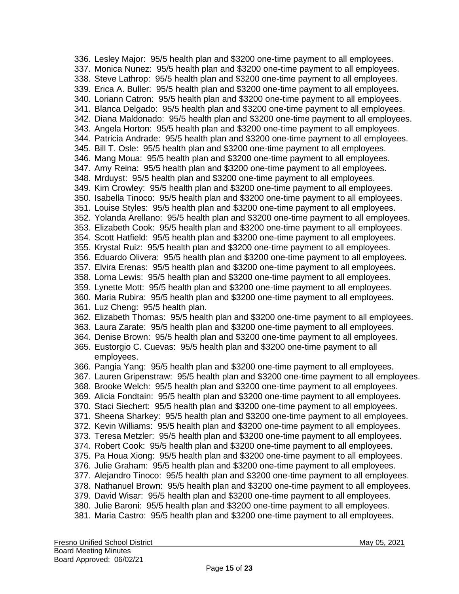336. Lesley Major: 95/5 health plan and \$3200 one-time payment to all employees. 337. Monica Nunez: 95/5 health plan and \$3200 one-time payment to all employees. 338. Steve Lathrop: 95/5 health plan and \$3200 one-time payment to all employees. 339. Erica A. Buller: 95/5 health plan and \$3200 one-time payment to all employees. 340. Loriann Catron: 95/5 health plan and \$3200 one-time payment to all employees. 341. Blanca Delgado: 95/5 health plan and \$3200 one-time payment to all employees. 342. Diana Maldonado: 95/5 health plan and \$3200 one-time payment to all employees. 343. Angela Horton: 95/5 health plan and \$3200 one-time payment to all employees. 344. Patricia Andrade: 95/5 health plan and \$3200 one-time payment to all employees. 345. Bill T. Osle: 95/5 health plan and \$3200 one-time payment to all employees. 346. Mang Moua: 95/5 health plan and \$3200 one-time payment to all employees. 347. Amy Reina: 95/5 health plan and \$3200 one-time payment to all employees. 348. Mrduyst: 95/5 health plan and \$3200 one-time payment to all employees. 349. Kim Crowley: 95/5 health plan and \$3200 one-time payment to all employees. 350. Isabella Tinoco: 95/5 health plan and \$3200 one-time payment to all employees. 351. Louise Styles: 95/5 health plan and \$3200 one-time payment to all employees. 352. Yolanda Arellano: 95/5 health plan and \$3200 one-time payment to all employees. 353. Elizabeth Cook: 95/5 health plan and \$3200 one-time payment to all employees. 354. Scott Hatfield: 95/5 health plan and \$3200 one-time payment to all employees. 355. Krystal Ruiz: 95/5 health plan and \$3200 one-time payment to all employees. 356. Eduardo Olivera: 95/5 health plan and \$3200 one-time payment to all employees. 357. Elvira Erenas: 95/5 health plan and \$3200 one-time payment to all employees. 358. Lorna Lewis: 95/5 health plan and \$3200 one-time payment to all employees. 359. Lynette Mott: 95/5 health plan and \$3200 one-time payment to all employees. 360. Maria Rubira: 95/5 health plan and \$3200 one-time payment to all employees. 361. Luz Cheng: 95/5 health plan. 362. Elizabeth Thomas: 95/5 health plan and \$3200 one-time payment to all employees. 363. Laura Zarate: 95/5 health plan and \$3200 one-time payment to all employees. 364. Denise Brown: 95/5 health plan and \$3200 one-time payment to all employees. 365. Eustorgio C. Cuevas: 95/5 health plan and \$3200 one-time payment to all employees. 366. Pangia Yang: 95/5 health plan and \$3200 one-time payment to all employees. 367. Lauren Gripenstraw: 95/5 health plan and \$3200 one-time payment to all employees. 368. Brooke Welch: 95/5 health plan and \$3200 one-time payment to all employees. 369. Alicia Fondtain: 95/5 health plan and \$3200 one-time payment to all employees. 370. Staci Siechert: 95/5 health plan and \$3200 one-time payment to all employees. 371. Sheena Sharkey: 95/5 health plan and \$3200 one-time payment to all employees. 372. Kevin Williams: 95/5 health plan and \$3200 one-time payment to all employees. 373. Teresa Metzler: 95/5 health plan and \$3200 one-time payment to all employees. 374. Robert Cook: 95/5 health plan and \$3200 one-time payment to all employees. 375. Pa Houa Xiong: 95/5 health plan and \$3200 one-time payment to all employees. 376. Julie Graham: 95/5 health plan and \$3200 one-time payment to all employees. 377. Alejandro Tinoco: 95/5 health plan and \$3200 one-time payment to all employees. 378. Nathanuel Brown: 95/5 health plan and \$3200 one-time payment to all employees. 379. David Wisar: 95/5 health plan and \$3200 one-time payment to all employees. 380. Julie Baroni: 95/5 health plan and \$3200 one-time payment to all employees. 381. Maria Castro: 95/5 health plan and \$3200 one-time payment to all employees.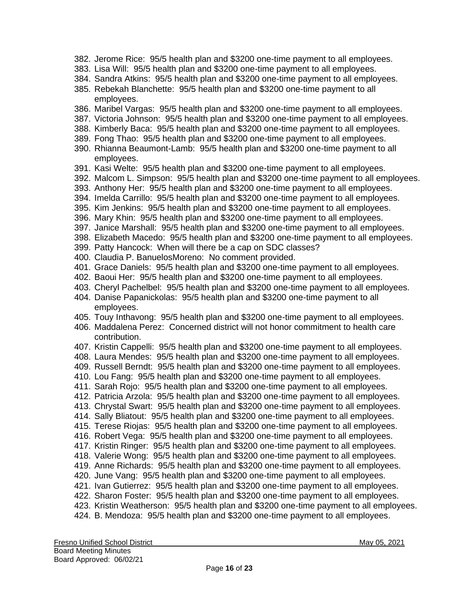- 382. Jerome Rice: 95/5 health plan and \$3200 one-time payment to all employees.
- 383. Lisa Will: 95/5 health plan and \$3200 one-time payment to all employees.
- 384. Sandra Atkins: 95/5 health plan and \$3200 one-time payment to all employees.
- 385. Rebekah Blanchette: 95/5 health plan and \$3200 one-time payment to all employees.
- 386. Maribel Vargas: 95/5 health plan and \$3200 one-time payment to all employees.
- 387. Victoria Johnson: 95/5 health plan and \$3200 one-time payment to all employees.
- 388. Kimberly Baca: 95/5 health plan and \$3200 one-time payment to all employees.
- 389. Fong Thao: 95/5 health plan and \$3200 one-time payment to all employees.
- 390. Rhianna Beaumont-Lamb: 95/5 health plan and \$3200 one-time payment to all employees.
- 391. Kasi Welte: 95/5 health plan and \$3200 one-time payment to all employees.
- 392. Malcom L. Simpson: 95/5 health plan and \$3200 one-time payment to all employees.
- 393. Anthony Her: 95/5 health plan and \$3200 one-time payment to all employees.
- 394. Imelda Carrillo: 95/5 health plan and \$3200 one-time payment to all employees.
- 395. Kim Jenkins: 95/5 health plan and \$3200 one-time payment to all employees.
- 396. Mary Khin: 95/5 health plan and \$3200 one-time payment to all employees.
- 397. Janice Marshall: 95/5 health plan and \$3200 one-time payment to all employees.
- 398. Elizabeth Macedo: 95/5 health plan and \$3200 one-time payment to all employees.
- 399. Patty Hancock: When will there be a cap on SDC classes?
- 400. Claudia P. BanuelosMoreno: No comment provided.
- 401. Grace Daniels: 95/5 health plan and \$3200 one-time payment to all employees.
- 402. Baoui Her: 95/5 health plan and \$3200 one-time payment to all employees.
- 403. Cheryl Pachelbel: 95/5 health plan and \$3200 one-time payment to all employees.
- 404. Danise Papanickolas: 95/5 health plan and \$3200 one-time payment to all employees.
- 405. Touy Inthavong: 95/5 health plan and \$3200 one-time payment to all employees.
- 406. Maddalena Perez: Concerned district will not honor commitment to health care contribution.
- 407. Kristin Cappelli: 95/5 health plan and \$3200 one-time payment to all employees.
- 408. Laura Mendes: 95/5 health plan and \$3200 one-time payment to all employees.
- 409. Russell Berndt: 95/5 health plan and \$3200 one-time payment to all employees.
- 410. Lou Fang: 95/5 health plan and \$3200 one-time payment to all employees.
- 411. Sarah Rojo: 95/5 health plan and \$3200 one-time payment to all employees.
- 412. Patricia Arzola: 95/5 health plan and \$3200 one-time payment to all employees.
- 413. Chrystal Swart: 95/5 health plan and \$3200 one-time payment to all employees.
- 414. Sally Bliatout: 95/5 health plan and \$3200 one-time payment to all employees.
- 415. Terese Riojas: 95/5 health plan and \$3200 one-time payment to all employees.
- 416. Robert Vega: 95/5 health plan and \$3200 one-time payment to all employees.
- 417. Kristin Ringer: 95/5 health plan and \$3200 one-time payment to all employees.
- 418. Valerie Wong: 95/5 health plan and \$3200 one-time payment to all employees.
- 419. Anne Richards: 95/5 health plan and \$3200 one-time payment to all employees.
- 420. June Vang: 95/5 health plan and \$3200 one-time payment to all employees.
- 421. Ivan Gutierrez: 95/5 health plan and \$3200 one-time payment to all employees.
- 422. Sharon Foster: 95/5 health plan and \$3200 one-time payment to all employees.
- 423. Kristin Weatherson: 95/5 health plan and \$3200 one-time payment to all employees.
- 424. B. Mendoza: 95/5 health plan and \$3200 one-time payment to all employees.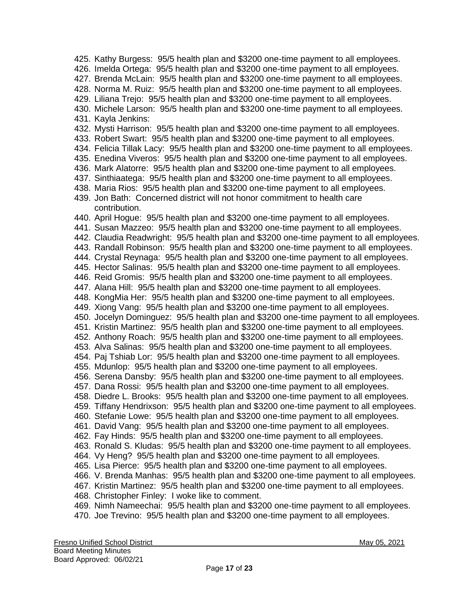425. Kathy Burgess: 95/5 health plan and \$3200 one-time payment to all employees. 426. Imelda Ortega: 95/5 health plan and \$3200 one-time payment to all employees. 427. Brenda McLain: 95/5 health plan and \$3200 one-time payment to all employees. 428. Norma M. Ruiz: 95/5 health plan and \$3200 one-time payment to all employees. 429. Liliana Trejo: 95/5 health plan and \$3200 one-time payment to all employees. 430. Michele Larson: 95/5 health plan and \$3200 one-time payment to all employees. 431. Kayla Jenkins: 432. Mysti Harrison:95/5 health plan and \$3200 one-time payment to all employees. 433. Robert Swart: 95/5 health plan and \$3200 one-time payment to all employees. 434. Felicia Tillak Lacy: 95/5 health plan and \$3200 one-time payment to all employees. 435. Enedina Viveros: 95/5 health plan and \$3200 one-time payment to all employees. 436. Mark Alatorre: 95/5 health plan and \$3200 one-time payment to all employees. 437. Sinthiaatega: 95/5 health plan and \$3200 one-time payment to all employees. 438. Maria Rios: 95/5 health plan and \$3200 one-time payment to all employees. 439. Jon Bath: Concerned district will not honor commitment to health care contribution. 440. April Hogue: 95/5 health plan and \$3200 one-time payment to all employees. 441. Susan Mazzeo: 95/5 health plan and \$3200 one-time payment to all employees. 442. Claudia Readwright: 95/5 health plan and \$3200 one-time payment to all employees. 443. Randall Robinson: 95/5 health plan and \$3200 one-time payment to all employees. 444. Crystal Reynaga: 95/5 health plan and \$3200 one-time payment to all employees. 445. Hector Salinas: 95/5 health plan and \$3200 one-time payment to all employees. 446. Reid Gromis: 95/5 health plan and \$3200 one-time payment to all employees. 447. Alana Hill: 95/5 health plan and \$3200 one-time payment to all employees. 448. KongMia Her: 95/5 health plan and \$3200 one-time payment to all employees. 449. Xiong Vang: 95/5 health plan and \$3200 one-time payment to all employees. 450. Jocelyn Dominguez: 95/5 health plan and \$3200 one-time payment to all employees. 451. Kristin Martinez: 95/5 health plan and \$3200 one-time payment to all employees. 452. Anthony Roach: 95/5 health plan and \$3200 one-time payment to all employees. 453. Alva Salinas: 95/5 health plan and \$3200 one-time payment to all employees. 454. Paj Tshiab Lor: 95/5 health plan and \$3200 one-time payment to all employees. 455. Mdunlop: 95/5 health plan and \$3200 one-time payment to all employees. 456. Serena Dansby: 95/5 health plan and \$3200 one-time payment to all employees. 457. Dana Rossi: 95/5 health plan and \$3200 one-time payment to all employees. 458. Diedre L. Brooks: 95/5 health plan and \$3200 one-time payment to all employees. 459. Tiffany Hendrixson: 95/5 health plan and \$3200 one-time payment to all employees. 460. Stefanie Lowe: 95/5 health plan and \$3200 one-time payment to all employees. 461. David Vang: 95/5 health plan and \$3200 one-time payment to all employees. 462. Fay Hinds: 95/5 health plan and \$3200 one-time payment to all employees. 463. Ronald S. Kludas: 95/5 health plan and \$3200 one-time payment to all employees. 464. Vy Heng? 95/5 health plan and \$3200 one-time payment to all employees. 465. Lisa Pierce: 95/5 health plan and \$3200 one-time payment to all employees. 466. V. Brenda Manhas: 95/5 health plan and \$3200 one-time payment to all employees. 467. Kristin Martinez: 95/5 health plan and \$3200 one-time payment to all employees. 468. Christopher Finley: I woke like to comment. 469. Nimh Nameechai: 95/5 health plan and \$3200 one-time payment to all employees. 470. Joe Trevino: 95/5 health plan and \$3200 one-time payment to all employees.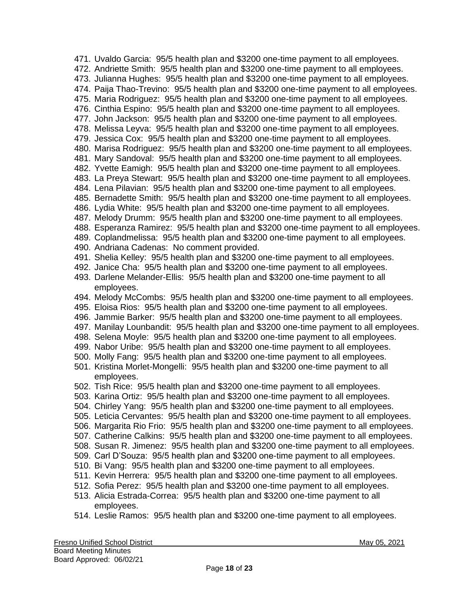471. Uvaldo Garcia: 95/5 health plan and \$3200 one-time payment to all employees. 472. Andriette Smith: 95/5 health plan and \$3200 one-time payment to all employees. 473. Julianna Hughes: 95/5 health plan and \$3200 one-time payment to all employees. 474. Paija Thao-Trevino: 95/5 health plan and \$3200 one-time payment to all employees. 475. Maria Rodriguez: 95/5 health plan and \$3200 one-time payment to all employees. 476. Cinthia Espino: 95/5 health plan and \$3200 one-time payment to all employees. 477. John Jackson: 95/5 health plan and \$3200 one-time payment to all employees. 478. Melissa Leyva: 95/5 health plan and \$3200 one-time payment to all employees. 479. Jessica Cox: 95/5 health plan and \$3200 one-time payment to all employees. 480. Marisa Rodriguez: 95/5 health plan and \$3200 one-time payment to all employees. 481. Mary Sandoval: 95/5 health plan and \$3200 one-time payment to all employees. 482. Yvette Eamigh: 95/5 health plan and \$3200 one-time payment to all employees. 483. La Preya Stewart: 95/5 health plan and \$3200 one-time payment to all employees. 484. Lena Pilavian: 95/5 health plan and \$3200 one-time payment to all employees. 485. Bernadette Smith: 95/5 health plan and \$3200 one-time payment to all employees. 486. Lydia White: 95/5 health plan and \$3200 one-time payment to all employees. 487. Melody Drumm: 95/5 health plan and \$3200 one-time payment to all employees. 488. Esperanza Ramirez: 95/5 health plan and \$3200 one-time payment to all employees. 489. Coplandmelissa: 95/5 health plan and \$3200 one-time payment to all employees. 490. Andriana Cadenas: No comment provided. 491. Shelia Kelley: 95/5 health plan and \$3200 one-time payment to all employees. 492. Janice Cha: 95/5 health plan and \$3200 one-time payment to all employees. 493. Darlene Melander-Ellis: 95/5 health plan and \$3200 one-time payment to all employees. 494. Melody McCombs: 95/5 health plan and \$3200 one-time payment to all employees. 495. Eloisa Rios: 95/5 health plan and \$3200 one-time payment to all employees. 496. Jammie Barker: 95/5 health plan and \$3200 one-time payment to all employees. 497. Manilay Lounbandit: 95/5 health plan and \$3200 one-time payment to all employees. 498. Selena Moyle: 95/5 health plan and \$3200 one-time payment to all employees. 499. Nabor Uribe: 95/5 health plan and \$3200 one-time payment to all employees. 500. Molly Fang: 95/5 health plan and \$3200 one-time payment to all employees. 501. Kristina Morlet-Mongelli: 95/5 health plan and \$3200 one-time payment to all employees. 502. Tish Rice: 95/5 health plan and \$3200 one-time payment to all employees. 503. Karina Ortiz: 95/5 health plan and \$3200 one-time payment to all employees. 504. Chirley Yang: 95/5 health plan and \$3200 one-time payment to all employees. 505. Leticia Cervantes: 95/5 health plan and \$3200 one-time payment to all employees. 506. Margarita Rio Frio: 95/5 health plan and \$3200 one-time payment to all employees. 507. Catherine Calkins: 95/5 health plan and \$3200 one-time payment to all employees. 508. Susan R. Jimenez: 95/5 health plan and \$3200 one-time payment to all employees. 509. Carl D'Souza: 95/5 health plan and \$3200 one-time payment to all employees. 510. Bi Vang: 95/5 health plan and \$3200 one-time payment to all employees. 511. Kevin Herrera: 95/5 health plan and \$3200 one-time payment to all employees. 512. Sofia Perez: 95/5 health plan and \$3200 one-time payment to all employees. 513. Alicia Estrada-Correa: 95/5 health plan and \$3200 one-time payment to all employees.

514. Leslie Ramos: 95/5 health plan and \$3200 one-time payment to all employees.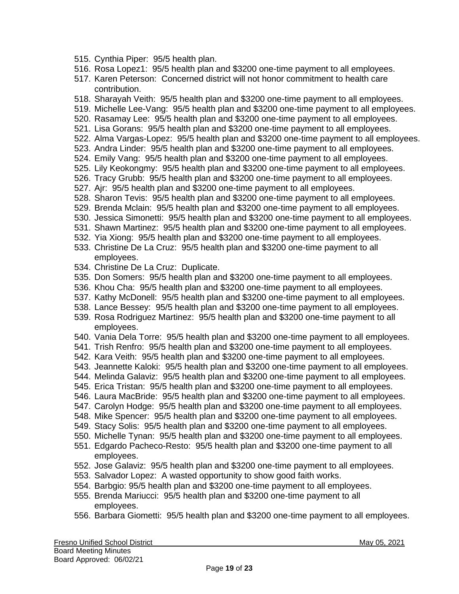- 515. Cynthia Piper: 95/5 health plan.
- 516. Rosa Lopez1: 95/5 health plan and \$3200 one-time payment to all employees.
- 517. Karen Peterson: Concerned district will not honor commitment to health care contribution.
- 518. Sharayah Veith: 95/5 health plan and \$3200 one-time payment to all employees.
- 519. Michelle Lee-Vang: 95/5 health plan and \$3200 one-time payment to all employees.
- 520. Rasamay Lee: 95/5 health plan and \$3200 one-time payment to all employees.
- 521. Lisa Gorans: 95/5 health plan and \$3200 one-time payment to all employees.
- 522. Alma Vargas-Lopez: 95/5 health plan and \$3200 one-time payment to all employees.
- 523. Andra Linder: 95/5 health plan and \$3200 one-time payment to all employees.
- 524. Emily Vang: 95/5 health plan and \$3200 one-time payment to all employees.
- 525. Lily Keokongmy: 95/5 health plan and \$3200 one-time payment to all employees.
- 526. Tracy Grubb: 95/5 health plan and \$3200 one-time payment to all employees.
- 527. Ajr: 95/5 health plan and \$3200 one-time payment to all employees.
- 528. Sharon Tevis: 95/5 health plan and \$3200 one-time payment to all employees.
- 529. Brenda Mclain: 95/5 health plan and \$3200 one-time payment to all employees.
- 530. Jessica Simonetti: 95/5 health plan and \$3200 one-time payment to all employees.
- 531. Shawn Martinez: 95/5 health plan and \$3200 one-time payment to all employees.
- 532. Yia Xiong: 95/5 health plan and \$3200 one-time payment to all employees.
- 533. Christine De La Cruz: 95/5 health plan and \$3200 one-time payment to all employees.
- 534. Christine De La Cruz: Duplicate.
- 535. Don Somers: 95/5 health plan and \$3200 one-time payment to all employees.
- 536. Khou Cha: 95/5 health plan and \$3200 one-time payment to all employees.
- 537. Kathy McDonell: 95/5 health plan and \$3200 one-time payment to all employees.
- 538. Lance Bessey: 95/5 health plan and \$3200 one-time payment to all employees.
- 539. Rosa Rodriguez Martinez: 95/5 health plan and \$3200 one-time payment to all employees.
- 540. Vania Dela Torre: 95/5 health plan and \$3200 one-time payment to all employees.
- 541. Trish Renfro: 95/5 health plan and \$3200 one-time payment to all employees.
- 542. Kara Veith: 95/5 health plan and \$3200 one-time payment to all employees.
- 543. Jeannette Kaloki: 95/5 health plan and \$3200 one-time payment to all employees.
- 544. Melinda Galaviz: 95/5 health plan and \$3200 one-time payment to all employees.
- 545. Erica Tristan: 95/5 health plan and \$3200 one-time payment to all employees.
- 546. Laura MacBride: 95/5 health plan and \$3200 one-time payment to all employees.
- 547. Carolyn Hodge: 95/5 health plan and \$3200 one-time payment to all employees.
- 548. Mike Spencer: 95/5 health plan and \$3200 one-time payment to all employees.
- 549. Stacy Solis: 95/5 health plan and \$3200 one-time payment to all employees.
- 550. Michelle Tynan: 95/5 health plan and \$3200 one-time payment to all employees.
- 551. Edgardo Pacheco-Resto: 95/5 health plan and \$3200 one-time payment to all employees.
- 552. Jose Galaviz: 95/5 health plan and \$3200 one-time payment to all employees.
- 553. Salvador Lopez: A wasted opportunity to show good faith works.
- 554. Barbgio: 95/5 health plan and \$3200 one-time payment to all employees.
- 555. Brenda Mariucci: 95/5 health plan and \$3200 one-time payment to all employees.
- 556. Barbara Giometti: 95/5 health plan and \$3200 one-time payment to all employees.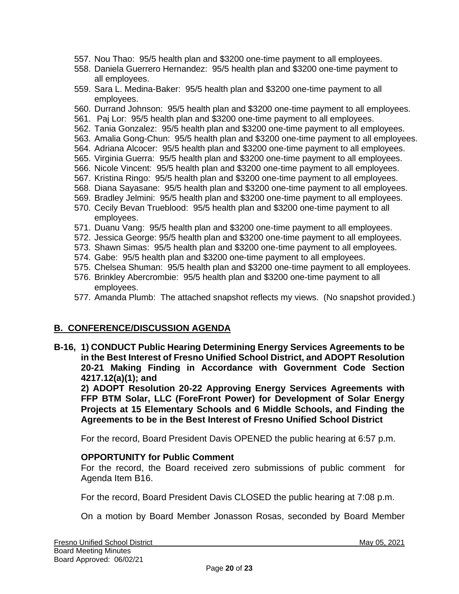- 557. Nou Thao: 95/5 health plan and \$3200 one-time payment to all employees.
- 558. Daniela Guerrero Hernandez: 95/5 health plan and \$3200 one-time payment to all employees.
- 559. Sara L. Medina-Baker: 95/5 health plan and \$3200 one-time payment to all employees.
- 560. Durrand Johnson: 95/5 health plan and \$3200 one-time payment to all employees.
- 561. Paj Lor: 95/5 health plan and \$3200 one-time payment to all employees.
- 562. Tania Gonzalez: 95/5 health plan and \$3200 one-time payment to all employees.
- 563. Amalia Gong-Chun: 95/5 health plan and \$3200 one-time payment to all employees.
- 564. Adriana Alcocer: 95/5 health plan and \$3200 one-time payment to all employees.
- 565. Virginia Guerra: 95/5 health plan and \$3200 one-time payment to all employees.
- 566. Nicole Vincent: 95/5 health plan and \$3200 one-time payment to all employees.
- 567. Kristina Ringo: 95/5 health plan and \$3200 one-time payment to all employees.
- 568. Diana Sayasane: 95/5 health plan and \$3200 one-time payment to all employees.
- 569. Bradley Jelmini: 95/5 health plan and \$3200 one-time payment to all employees.
- 570. Cecily Bevan Trueblood: 95/5 health plan and \$3200 one-time payment to all employees.
- 571. Duanu Vang: 95/5 health plan and \$3200 one-time payment to all employees.
- 572. Jessica George: 95/5 health plan and \$3200 one-time payment to all employees.
- 573. Shawn Simas: 95/5 health plan and \$3200 one-time payment to all employees.
- 574. Gabe: 95/5 health plan and \$3200 one-time payment to all employees.
- 575. Chelsea Shuman: 95/5 health plan and \$3200 one-time payment to all employees.
- 576. Brinkley Abercrombie: 95/5 health plan and \$3200 one-time payment to all employees.
- 577. Amanda Plumb: The attached snapshot reflects my views. (No snapshot provided.)

#### **B. CONFERENCE/DISCUSSION AGENDA**

**B-16, 1) CONDUCT Public Hearing Determining Energy Services Agreements to be in the Best Interest of Fresno Unified School District, and ADOPT Resolution 20-21 Making Finding in Accordance with Government Code Section 4217.12(a)(1); and** 

**2) ADOPT Resolution 20-22 Approving Energy Services Agreements with FFP BTM Solar, LLC (ForeFront Power) for Development of Solar Energy Projects at 15 Elementary Schools and 6 Middle Schools, and Finding the Agreements to be in the Best Interest of Fresno Unified School District**

For the record, Board President Davis OPENED the public hearing at 6:57 p.m.

#### **OPPORTUNITY for Public Comment**

For the record, the Board received zero submissions of public comment for Agenda Item B16.

For the record, Board President Davis CLOSED the public hearing at 7:08 p.m.

On a motion by Board Member Jonasson Rosas, seconded by Board Member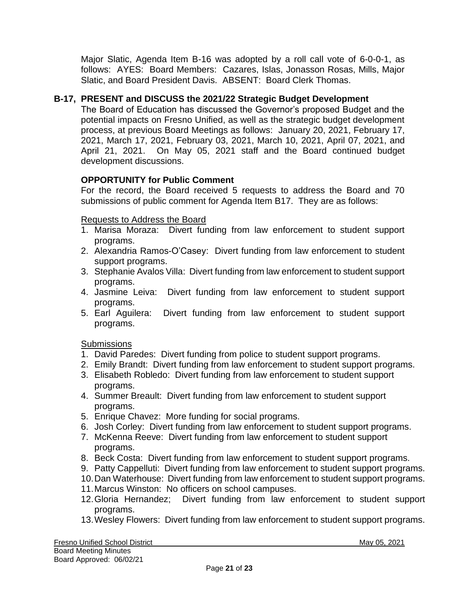Major Slatic, Agenda Item B-16 was adopted by a roll call vote of 6-0-0-1, as follows: AYES: Board Members: Cazares, Islas, Jonasson Rosas, Mills, Major Slatic, and Board President Davis. ABSENT: Board Clerk Thomas.

# **B-17, PRESENT and DISCUSS the 2021/22 Strategic Budget Development**

The Board of Education has discussed the Governor's proposed Budget and the potential impacts on Fresno Unified, as well as the strategic budget development process, at previous Board Meetings as follows: January 20, 2021, February 17, 2021, March 17, 2021, February 03, 2021, March 10, 2021, April 07, 2021, and April 21, 2021. On May 05, 2021 staff and the Board continued budget development discussions.

# **OPPORTUNITY for Public Comment**

For the record, the Board received 5 requests to address the Board and 70 submissions of public comment for Agenda Item B17. They are as follows:

## Requests to Address the Board

- 1. Marisa Moraza: Divert funding from law enforcement to student support programs.
- 2. Alexandria Ramos-O'Casey: Divert funding from law enforcement to student support programs.
- 3. Stephanie Avalos Villa: Divert funding from law enforcement to student support programs.
- 4. Jasmine Leiva: Divert funding from law enforcement to student support programs.
- 5. Earl Aguilera: Divert funding from law enforcement to student support programs.

#### **Submissions**

- 1. David Paredes: Divert funding from police to student support programs.
- 2. Emily Brandt: Divert funding from law enforcement to student support programs.
- 3. Elisabeth Robledo: Divert funding from law enforcement to student support programs.
- 4. Summer Breault: Divert funding from law enforcement to student support programs.
- 5. Enrique Chavez: More funding for social programs.
- 6. Josh Corley: Divert funding from law enforcement to student support programs.
- 7. McKenna Reeve: Divert funding from law enforcement to student support programs.
- 8. Beck Costa: Divert funding from law enforcement to student support programs.
- 9. Patty Cappelluti: Divert funding from law enforcement to student support programs.
- 10.Dan Waterhouse: Divert funding from law enforcement to student support programs.
- 11.Marcus Winston: No officers on school campuses.
- 12.Gloria Hernandez; Divert funding from law enforcement to student support programs.
- 13.Wesley Flowers: Divert funding from law enforcement to student support programs.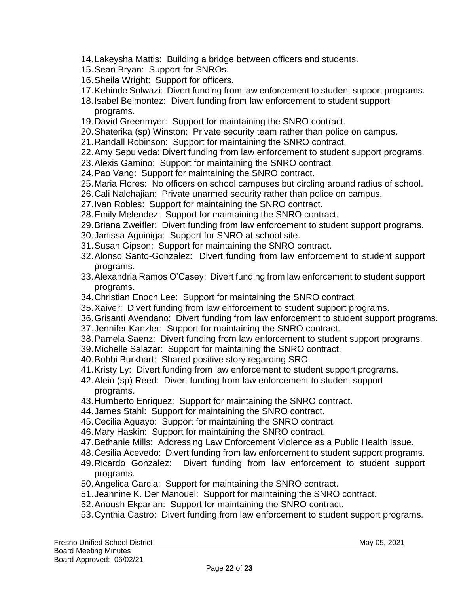- 14.Lakeysha Mattis: Building a bridge between officers and students.
- 15.Sean Bryan: Support for SNROs.
- 16.Sheila Wright: Support for officers.
- 17.Kehinde Solwazi: Divert funding from law enforcement to student support programs.
- 18.Isabel Belmontez: Divert funding from law enforcement to student support programs.
- 19.David Greenmyer: Support for maintaining the SNRO contract.
- 20.Shaterika (sp) Winston: Private security team rather than police on campus.
- 21.Randall Robinson: Support for maintaining the SNRO contract.
- 22.Amy Sepulveda: Divert funding from law enforcement to student support programs.
- 23.Alexis Gamino: Support for maintaining the SNRO contract.
- 24.Pao Vang: Support for maintaining the SNRO contract.
- 25.Maria Flores: No officers on school campuses but circling around radius of school.
- 26.Cali Nalchajian: Private unarmed security rather than police on campus.
- 27.Ivan Robles: Support for maintaining the SNRO contract.
- 28.Emily Melendez: Support for maintaining the SNRO contract.
- 29.Briana Zweifler: Divert funding from law enforcement to student support programs.
- 30.Janissa Aguiniga: Support for SNRO at school site.
- 31.Susan Gipson: Support for maintaining the SNRO contract.
- 32.Alonso Santo-Gonzalez: Divert funding from law enforcement to student support programs.
- 33.Alexandria Ramos O'Casey: Divert funding from law enforcement to student support programs.
- 34.Christian Enoch Lee: Support for maintaining the SNRO contract.
- 35.Xaiver: Divert funding from law enforcement to student support programs.
- 36.Grisanti Avendano: Divert funding from law enforcement to student support programs.
- 37.Jennifer Kanzler: Support for maintaining the SNRO contract.
- 38.Pamela Saenz: Divert funding from law enforcement to student support programs.
- 39.Michelle Salazar: Support for maintaining the SNRO contract.
- 40.Bobbi Burkhart: Shared positive story regarding SRO.
- 41.Kristy Ly: Divert funding from law enforcement to student support programs.
- 42.Alein (sp) Reed: Divert funding from law enforcement to student support programs.
- 43.Humberto Enriquez: Support for maintaining the SNRO contract.
- 44.James Stahl: Support for maintaining the SNRO contract.
- 45.Cecilia Aguayo: Support for maintaining the SNRO contract.
- 46.Mary Haskin: Support for maintaining the SNRO contract.
- 47.Bethanie Mills: Addressing Law Enforcement Violence as a Public Health Issue.
- 48.Cesilia Acevedo: Divert funding from law enforcement to student support programs.
- 49.Ricardo Gonzalez: Divert funding from law enforcement to student support programs.
- 50.Angelica Garcia: Support for maintaining the SNRO contract.
- 51.Jeannine K. Der Manouel: Support for maintaining the SNRO contract.
- 52.Anoush Ekparian: Support for maintaining the SNRO contract.
- 53.Cynthia Castro: Divert funding from law enforcement to student support programs.